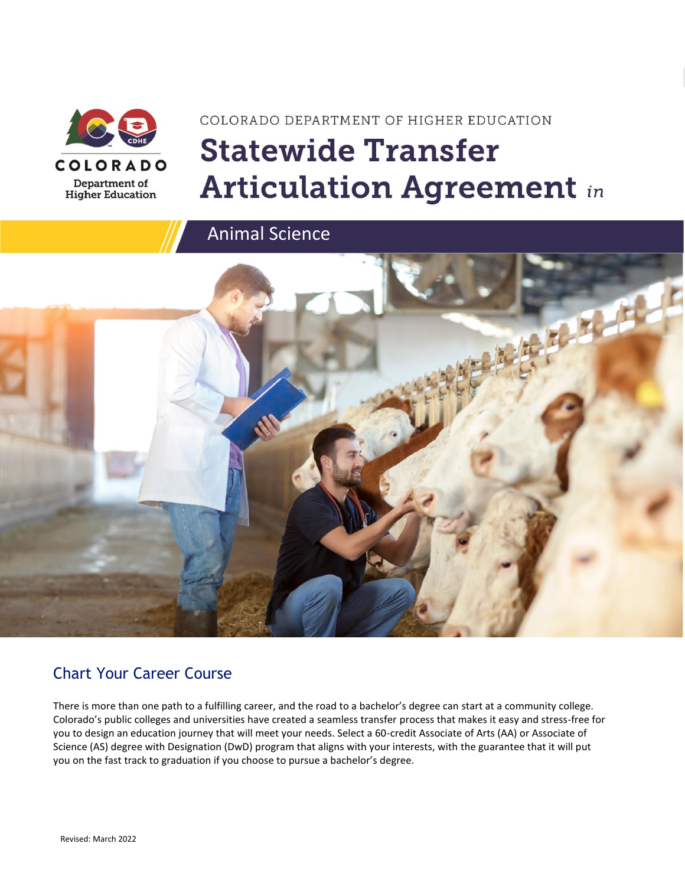

# COLORADO DEPARTMENT OF HIGHER EDUCATION **Statewide Transfer Articulation Agreement in**

Animal Science



### Chart Your Career Course

There is more than one path to a fulfilling career, and the road to a bachelor's degree can start at a community college. Colorado's public colleges and universities have created a seamless transfer process that makes it easy and stress-free for you to design an education journey that will meet your needs. Select a 60-credit Associate of Arts (AA) or Associate of Science (AS) degree with Designation (DwD) program that aligns with your interests, with the guarantee that it will put you on the fast track to graduation if you choose to pursue a bachelor's degree.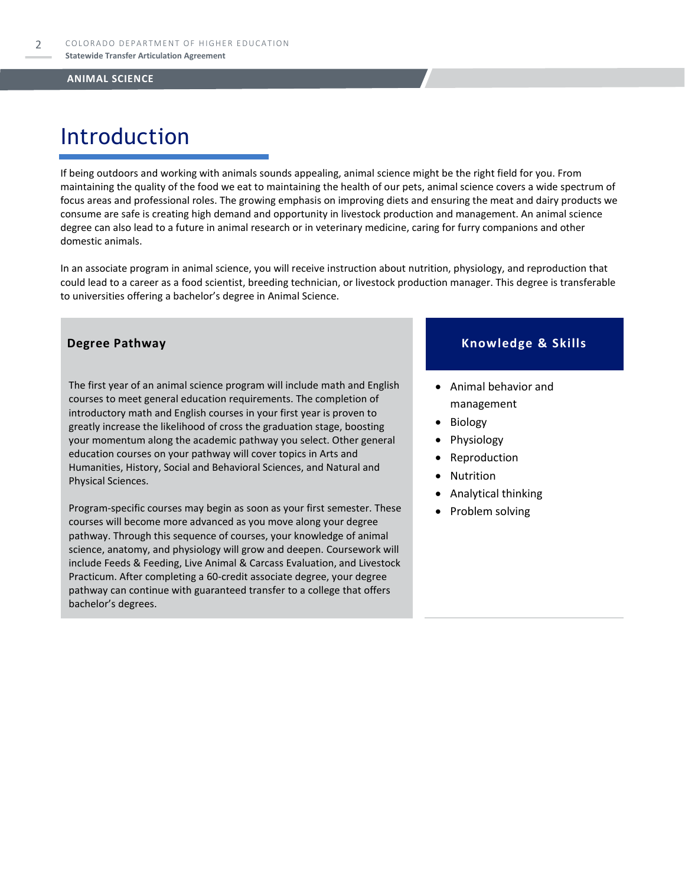## Introduction

If being outdoors and working with animals sounds appealing, animal science might be the right field for you. From maintaining the quality of the food we eat to maintaining the health of our pets, animal science covers a wide spectrum of focus areas and professional roles. The growing emphasis on improving diets and ensuring the meat and dairy products we consume are safe is creating high demand and opportunity in livestock production and management. An animal science degree can also lead to a future in animal research or in veterinary medicine, caring for furry companions and other domestic animals.

In an associate program in animal science, you will receive instruction about nutrition, physiology, and reproduction that could lead to a career as a food scientist, breeding technician, or livestock production manager. This degree is transferable to universities offering a bachelor's degree in Animal Science.

The first year of an animal science program will include math and English courses to meet general education requirements. The completion of introductory math and English courses in your first year is proven to greatly increase the likelihood of cross the graduation stage, boosting your momentum along the academic pathway you select. Other general education courses on your pathway will cover topics in Arts and Humanities, History, Social and Behavioral Sciences, and Natural and Physical Sciences.

Program-specific courses may begin as soon as your first semester. These courses will become more advanced as you move along your degree pathway. Through this sequence of courses, your knowledge of animal science, anatomy, and physiology will grow and deepen. Coursework will include Feeds & Feeding, Live Animal & Carcass Evaluation, and Livestock Practicum. After completing a 60-credit associate degree, your degree pathway can continue with guaranteed transfer to a college that offers bachelor's degrees.

#### **Degree Pathway Knowledge & Skills**

- Animal behavior and management
- Biology
- **Physiology**
- **Reproduction**
- **Nutrition**
- Analytical thinking
- Problem solving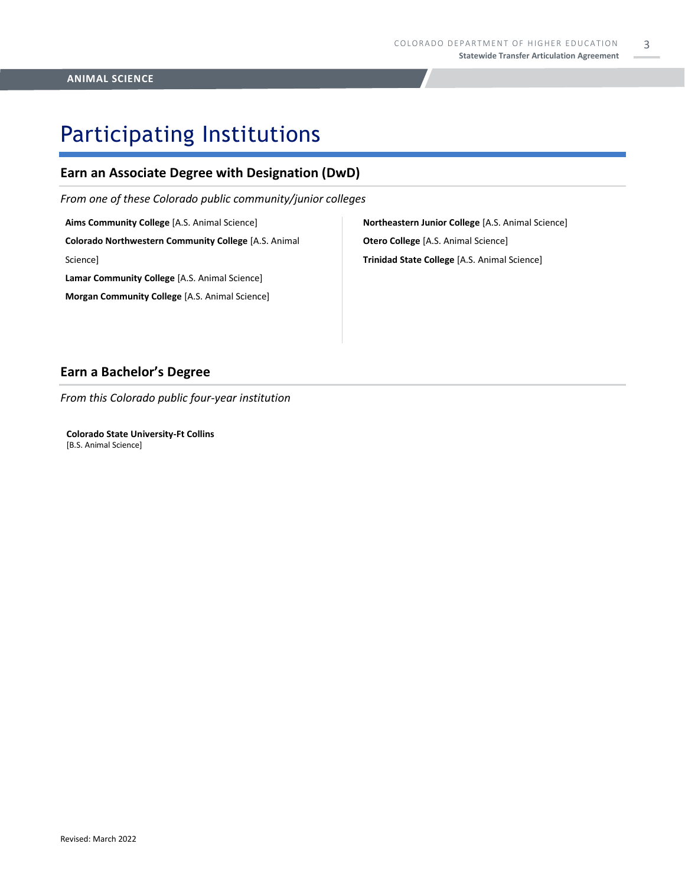3

## Participating Institutions

### **Earn an Associate Degree with Designation (DwD)**

*From one of these Colorado public community/junior colleges*

**Aims Community College** [A.S. Animal Science] **Colorado Northwestern Community College** [A.S. Animal Science] **Lamar Community College** [A.S. Animal Science] **Morgan Community College** [A.S. Animal Science]

**Northeastern Junior College** [A.S. Animal Science] **Otero College** [A.S. Animal Science] **Trinidad State College** [A.S. Animal Science]

#### **Earn a Bachelor's Degree**

*From this Colorado public four-year institution*

**Colorado State University-Ft Collins**  [B.S. Animal Science]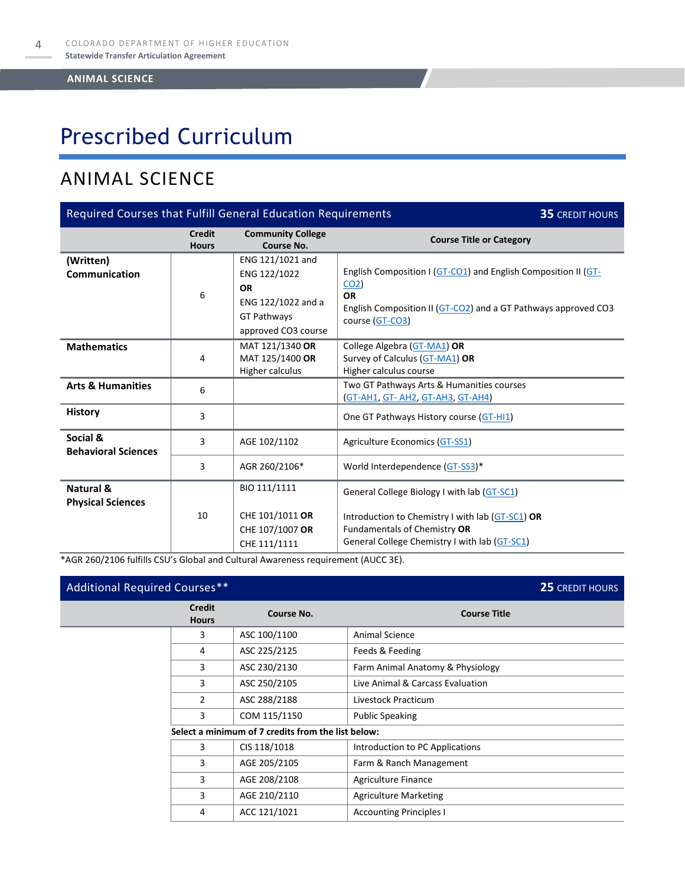# Prescribed Curriculum

### ANIMAL SCIENCE

| Required Courses that Fulfill General Education Requirements<br><b>35 CREDIT HOURS</b> |                               |                                                                                                                  |                                                                                                                                                                                     |  |  |
|----------------------------------------------------------------------------------------|-------------------------------|------------------------------------------------------------------------------------------------------------------|-------------------------------------------------------------------------------------------------------------------------------------------------------------------------------------|--|--|
|                                                                                        | <b>Credit</b><br><b>Hours</b> | <b>Community College</b><br>Course No.                                                                           | <b>Course Title or Category</b>                                                                                                                                                     |  |  |
| (Written)<br>Communication                                                             | 6                             | ENG 121/1021 and<br>ENG 122/1022<br><b>OR</b><br>ENG 122/1022 and a<br><b>GT Pathways</b><br>approved CO3 course | English Composition I (GT-CO1) and English Composition II (GT-<br>CO <sub>2</sub><br><b>OR</b><br>English Composition II (GT-CO2) and a GT Pathways approved CO3<br>course (GT-CO3) |  |  |
| <b>Mathematics</b>                                                                     | 4                             | MAT 121/1340 OR<br>MAT 125/1400 OR<br>Higher calculus                                                            | College Algebra (GT-MA1) OR<br>Survey of Calculus (GT-MA1) OR<br>Higher calculus course                                                                                             |  |  |
| <b>Arts &amp; Humanities</b>                                                           | 6                             |                                                                                                                  | Two GT Pathways Arts & Humanities courses<br><u>GT-AH1, GT-AH2, GT-AH3, GT-AH4)</u>                                                                                                 |  |  |
| <b>History</b>                                                                         | 3                             |                                                                                                                  | One GT Pathways History course (GT-HI1)                                                                                                                                             |  |  |
| Social &<br><b>Behavioral Sciences</b>                                                 | 3                             | AGE 102/1102                                                                                                     | Agriculture Economics (GT-SS1)<br>World Interdependence (GT-SS3)*                                                                                                                   |  |  |
|                                                                                        | 3                             | AGR 260/2106*                                                                                                    |                                                                                                                                                                                     |  |  |
| Natural &<br><b>Physical Sciences</b>                                                  | 10                            | BIO 111/1111<br>CHE 101/1011 OR<br>CHE 107/1007 OR<br>CHE 111/1111                                               | General College Biology I with lab (GT-SC1)<br>Introduction to Chemistry I with lab (GT-SC1) OR<br>Fundamentals of Chemistry OR<br>General College Chemistry I with lab (GT-SC1)    |  |  |

\*AGR 260/2106 fulfills CSU's Global and Cultural Awareness requirement (AUCC 3E).

| Additional Required Courses** |                               |                                                    |                                  | 25 CREDIT HOURS |
|-------------------------------|-------------------------------|----------------------------------------------------|----------------------------------|-----------------|
|                               | <b>Credit</b><br><b>Hours</b> | Course No.                                         | <b>Course Title</b>              |                 |
|                               | 3                             | ASC 100/1100                                       | Animal Science                   |                 |
|                               | 4                             | ASC 225/2125                                       | Feeds & Feeding                  |                 |
|                               | 3                             | ASC 230/2130                                       | Farm Animal Anatomy & Physiology |                 |
|                               | 3                             | ASC 250/2105                                       | Live Animal & Carcass Evaluation |                 |
|                               | $\overline{2}$                | ASC 288/2188                                       | Livestock Practicum              |                 |
|                               | 3                             | COM 115/1150                                       | <b>Public Speaking</b>           |                 |
|                               |                               | Select a minimum of 7 credits from the list below: |                                  |                 |
|                               | 3                             | CIS 118/1018                                       | Introduction to PC Applications  |                 |
|                               | 3                             | AGE 205/2105                                       | Farm & Ranch Management          |                 |
|                               | 3                             | AGE 208/2108                                       | Agriculture Finance              |                 |
|                               | 3                             | AGE 210/2110                                       | <b>Agriculture Marketing</b>     |                 |
|                               | 4                             | ACC 121/1021                                       | <b>Accounting Principles I</b>   |                 |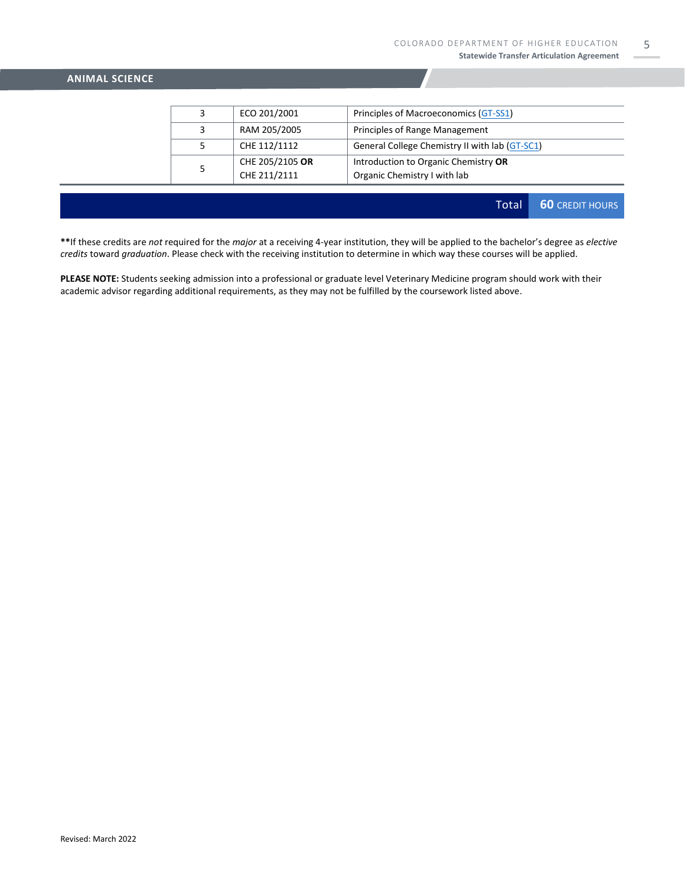| ECO 201/2001                    | Principles of Macroeconomics (GT-SS1)                                |
|---------------------------------|----------------------------------------------------------------------|
| RAM 205/2005                    | Principles of Range Management                                       |
| CHE 112/1112                    | General College Chemistry II with lab (GT-SC1)                       |
| CHE 205/2105 OR<br>CHE 211/2111 | Introduction to Organic Chemistry OR<br>Organic Chemistry I with lab |

Total **60** CREDIT HOURS

**\*\***If these credits are *not* required for the *major* at a receiving 4-year institution, they will be applied to the bachelor's degree as *elective credits* toward *graduation*. Please check with the receiving institution to determine in which way these courses will be applied.

**PLEASE NOTE:** Students seeking admission into a professional or graduate level Veterinary Medicine program should work with their academic advisor regarding additional requirements, as they may not be fulfilled by the coursework listed above.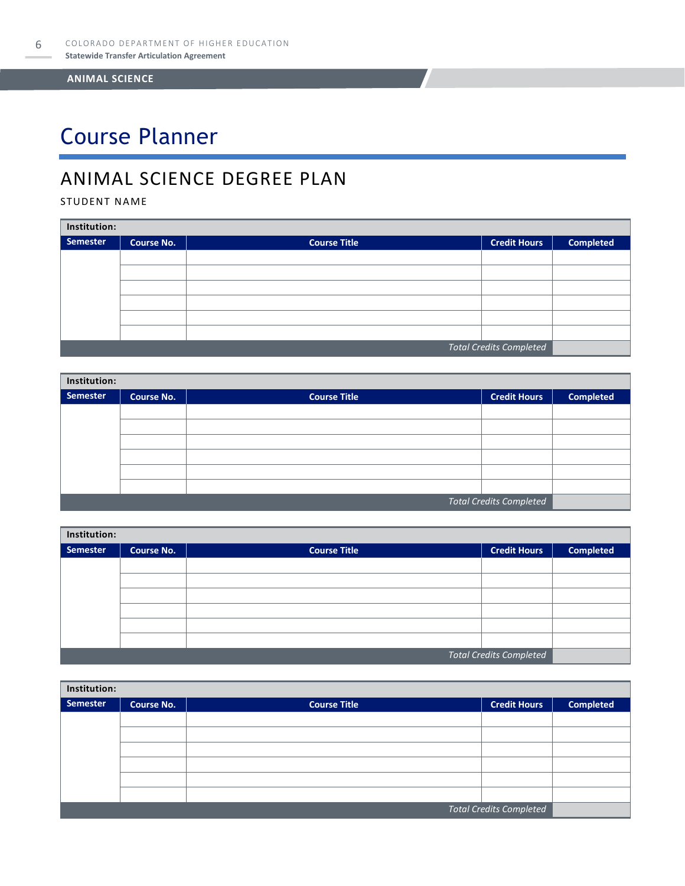# Course Planner

### ANIMAL SCIENCE DEGREE PLAN

STUDENT NAME

| Institution:                   |                   |                     |                     |                  |  |  |
|--------------------------------|-------------------|---------------------|---------------------|------------------|--|--|
| Semester                       | <b>Course No.</b> | <b>Course Title</b> | <b>Credit Hours</b> | <b>Completed</b> |  |  |
|                                |                   |                     |                     |                  |  |  |
|                                |                   |                     |                     |                  |  |  |
|                                |                   |                     |                     |                  |  |  |
|                                |                   |                     |                     |                  |  |  |
|                                |                   |                     |                     |                  |  |  |
|                                |                   |                     |                     |                  |  |  |
| <b>Total Credits Completed</b> |                   |                     |                     |                  |  |  |

| Institution:                   |                   |                     |                     |                  |  |  |
|--------------------------------|-------------------|---------------------|---------------------|------------------|--|--|
| Semester                       | <b>Course No.</b> | <b>Course Title</b> | <b>Credit Hours</b> | <b>Completed</b> |  |  |
|                                |                   |                     |                     |                  |  |  |
|                                |                   |                     |                     |                  |  |  |
|                                |                   |                     |                     |                  |  |  |
|                                |                   |                     |                     |                  |  |  |
|                                |                   |                     |                     |                  |  |  |
|                                |                   |                     |                     |                  |  |  |
| <b>Total Credits Completed</b> |                   |                     |                     |                  |  |  |

| Institution: |                   |                     |                                |                  |  |  |
|--------------|-------------------|---------------------|--------------------------------|------------------|--|--|
| Semester     | <b>Course No.</b> | <b>Course Title</b> | <b>Credit Hours</b>            | <b>Completed</b> |  |  |
|              |                   |                     |                                |                  |  |  |
|              |                   |                     |                                |                  |  |  |
|              |                   |                     |                                |                  |  |  |
|              |                   |                     |                                |                  |  |  |
|              |                   |                     |                                |                  |  |  |
|              |                   |                     |                                |                  |  |  |
|              |                   |                     | <b>Total Credits Completed</b> |                  |  |  |

| Institution:                   |                   |                     |                     |                  |  |  |
|--------------------------------|-------------------|---------------------|---------------------|------------------|--|--|
| Semester                       | <b>Course No.</b> | <b>Course Title</b> | <b>Credit Hours</b> | <b>Completed</b> |  |  |
|                                |                   |                     |                     |                  |  |  |
|                                |                   |                     |                     |                  |  |  |
|                                |                   |                     |                     |                  |  |  |
|                                |                   |                     |                     |                  |  |  |
|                                |                   |                     |                     |                  |  |  |
|                                |                   |                     |                     |                  |  |  |
| <b>Total Credits Completed</b> |                   |                     |                     |                  |  |  |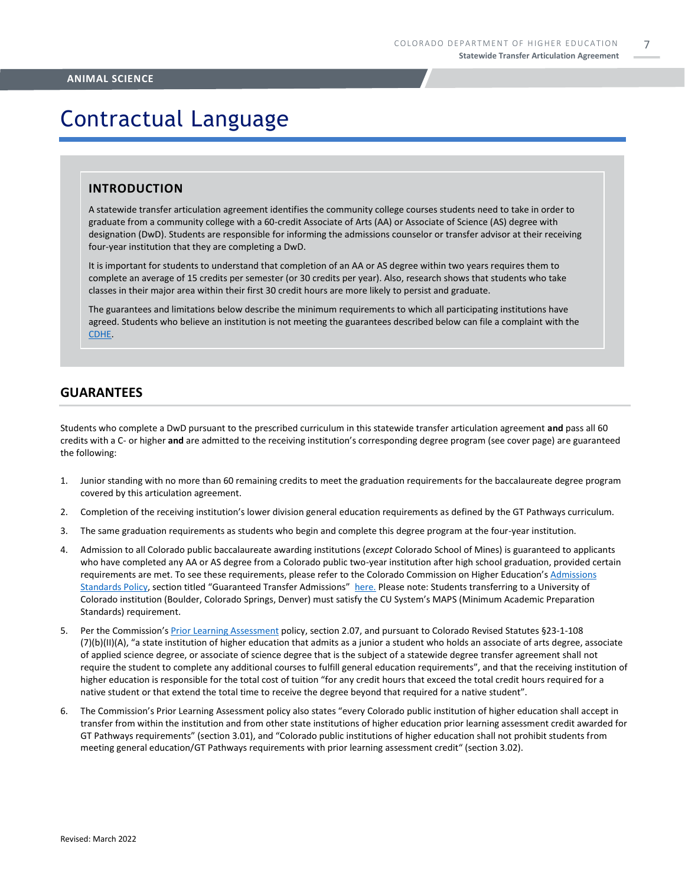## Contractual Language

#### **INTRODUCTION**

A statewide transfer articulation agreement identifies the community college courses students need to take in order to graduate from a community college with a 60-credit Associate of Arts (AA) or Associate of Science (AS) degree with designation (DwD). Students are responsible for informing the admissions counselor or transfer advisor at their receiving four-year institution that they are completing a DwD.

It is important for students to understand that completion of an AA or AS degree within two years requires them to complete an average of 15 credits per semester (or 30 credits per year). Also, research shows that students who take classes in their major area within their first 30 credit hours are more likely to persist and graduate.

The guarantees and limitations below describe the minimum requirements to which all participating institutions have agreed. Students who believe an institution is not meeting the guarantees described below can file a complaint with the [CDHE.](https://highered.colorado.gov/filing-student-complaint)

#### **GUARANTEES**

Students who complete a DwD pursuant to the prescribed curriculum in this statewide transfer articulation agreement **and** pass all 60 credits with a C- or higher **and** are admitted to the receiving institution's corresponding degree program (see cover page) are guaranteed the following:

- 1. Junior standing with no more than 60 remaining credits to meet the graduation requirements for the baccalaureate degree program covered by this articulation agreement.
- 2. Completion of the receiving institution's lower division general education requirements as defined by the GT Pathways curriculum.
- 3. The same graduation requirements as students who begin and complete this degree program at the four-year institution.
- 4. Admission to all Colorado public baccalaureate awarding institutions (*except* Colorado School of Mines) is guaranteed to applicants who have completed any AA or AS degree from a Colorado public two-year institution after high school graduation, provided certain requirements are met. To see these requirements, please refer to the Colorado Commission on Higher Education's [Admissions](https://highered.colorado.gov/sites/highered/files/2020-03/i-partf_0.pdf)  [Standards Policy](https://highered.colorado.gov/sites/highered/files/2020-03/i-partf_0.pdf), section titled "Guaranteed Transfer Admissions" [here.](https://highered.colorado.gov/educators/policy-funding/cche-policies-procedures) Please note: Students transferring to a University of Colorado institution (Boulder, Colorado Springs, Denver) must satisfy the CU System's MAPS (Minimum Academic Preparation Standards) requirement.
- 5. Per the Commission's [Prior Learning Assessment](https://highered.colorado.gov/Publications/Policies/Current/i-partx.pdf) policy, section 2.07, and pursuant to Colorado Revised Statutes §23-1-108 (7)(b)(II)(A), "a state institution of higher education that admits as a junior a student who holds an associate of arts degree, associate of applied science degree, or associate of science degree that is the subject of a statewide degree transfer agreement shall not require the student to complete any additional courses to fulfill general education requirements", and that the receiving institution of higher education is responsible for the total cost of tuition "for any credit hours that exceed the total credit hours required for a native student or that extend the total time to receive the degree beyond that required for a native student".
- 6. The Commission's Prior Learning Assessment policy also states "every Colorado public institution of higher education shall accept in transfer from within the institution and from other state institutions of higher education prior learning assessment credit awarded for GT Pathways requirements" (section 3.01), and "Colorado public institutions of higher education shall not prohibit students from meeting general education/GT Pathways requirements with prior learning assessment credit" (section 3.02).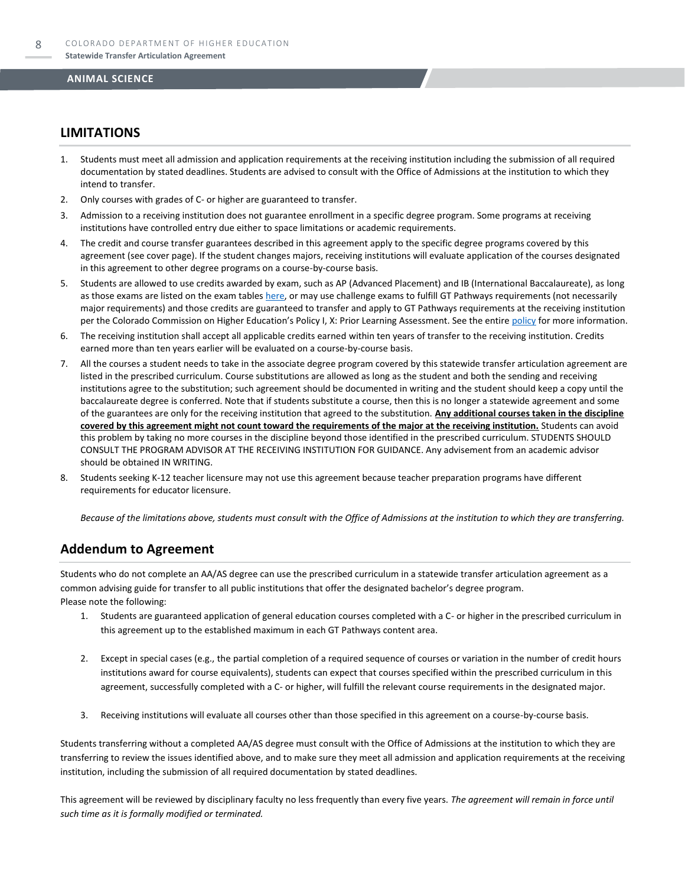#### **LIMITATIONS**

- 1. Students must meet all admission and application requirements at the receiving institution including the submission of all required documentation by stated deadlines. Students are advised to consult with the Office of Admissions at the institution to which they intend to transfer.
- 2. Only courses with grades of C- or higher are guaranteed to transfer.
- 3. Admission to a receiving institution does not guarantee enrollment in a specific degree program. Some programs at receiving institutions have controlled entry due either to space limitations or academic requirements.
- 4. The credit and course transfer guarantees described in this agreement apply to the specific degree programs covered by this agreement (see cover page). If the student changes majors, receiving institutions will evaluate application of the courses designated in this agreement to other degree programs on a course-by-course basis.
- 5. Students are allowed to use credits awarded by exam, such as AP (Advanced Placement) and IB (International Baccalaureate), as long as those exams are listed on the exam table[s here,](https://highered.colorado.gov/get-credit-for-what-you-already-know) or may use challenge exams to fulfill GT Pathways requirements (not necessarily major requirements) and those credits are guaranteed to transfer and apply to GT Pathways requirements at the receiving institution per the Colorado Commission on Higher Education's Policy I, X: Prior Learning Assessment. See the entire [policy](https://highered.colorado.gov/Publications/Policies/Current/i-partx.pdf) for more information.
- 6. The receiving institution shall accept all applicable credits earned within ten years of transfer to the receiving institution. Credits earned more than ten years earlier will be evaluated on a course-by-course basis.
- 7. All the courses a student needs to take in the associate degree program covered by this statewide transfer articulation agreement are listed in the prescribed curriculum. Course substitutions are allowed as long as the student and both the sending and receiving institutions agree to the substitution; such agreement should be documented in writing and the student should keep a copy until the baccalaureate degree is conferred. Note that if students substitute a course, then this is no longer a statewide agreement and some of the guarantees are only for the receiving institution that agreed to the substitution. **Any additional courses taken in the discipline covered by this agreement might not count toward the requirements of the major at the receiving institution.** Students can avoid this problem by taking no more courses in the discipline beyond those identified in the prescribed curriculum. STUDENTS SHOULD CONSULT THE PROGRAM ADVISOR AT THE RECEIVING INSTITUTION FOR GUIDANCE. Any advisement from an academic advisor should be obtained IN WRITING.
- Students seeking K-12 teacher licensure may not use this agreement because teacher preparation programs have different requirements for educator licensure.

*Because of the limitations above, students must consult with the Office of Admissions at the institution to which they are transferring.*

#### **Addendum to Agreement**

Students who do not complete an AA/AS degree can use the prescribed curriculum in a statewide transfer articulation agreement as a common advising guide for transfer to all public institutions that offer the designated bachelor's degree program. Please note the following:

- 1. Students are guaranteed application of general education courses completed with a C- or higher in the prescribed curriculum in this agreement up to the established maximum in each GT Pathways content area.
- 2. Except in special cases (e.g., the partial completion of a required sequence of courses or variation in the number of credit hours institutions award for course equivalents), students can expect that courses specified within the prescribed curriculum in this agreement, successfully completed with a C- or higher, will fulfill the relevant course requirements in the designated major.
- 3. Receiving institutions will evaluate all courses other than those specified in this agreement on a course-by-course basis.

Students transferring without a completed AA/AS degree must consult with the Office of Admissions at the institution to which they are transferring to review the issues identified above, and to make sure they meet all admission and application requirements at the receiving institution, including the submission of all required documentation by stated deadlines.

This agreement will be reviewed by disciplinary faculty no less frequently than every five years. *The agreement will remain in force until such time as it is formally modified or terminated.*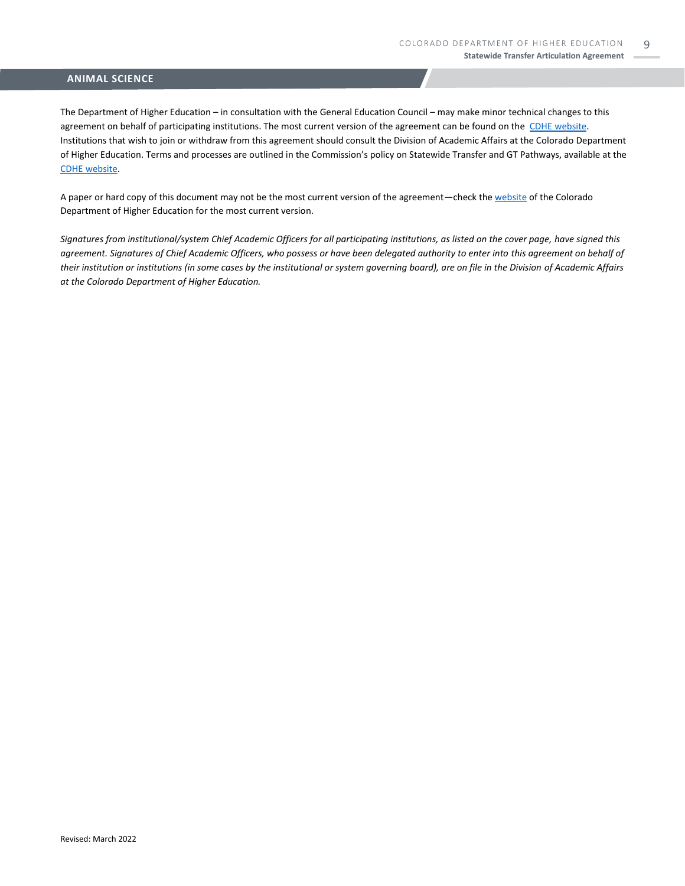The Department of Higher Education – in consultation with the General Education Council – may make minor technical changes to this agreement on behalf of participating institutions. The most current version of the agreement can be found on the [CDHE website.](https://highered.colorado.gov/transfer-degrees) Institutions that wish to join or withdraw from this agreement should consult the Division of Academic Affairs at the Colorado Department of Higher Education. Terms and processes are outlined in the Commission's policy on Statewide Transfer and GT Pathways, available at the [CDHE website.](https://highered.colorado.gov/educators/policy-funding/general-education-ge-council/gtpathways/transfer-agreements)

A paper or hard copy of this document may not be the most current version of the agreement—check th[e website](https://highered.colorado.gov/transfer-degrees) of the Colorado Department of Higher Education for the most current version.

*Signatures from institutional/system Chief Academic Officers for all participating institutions, as listed on the cover page, have signed this agreement. Signatures of Chief Academic Officers, who possess or have been delegated authority to enter into this agreement on behalf of their institution or institutions (in some cases by the institutional or system governing board), are on file in the Division of Academic Affairs at the Colorado Department of Higher Education.*